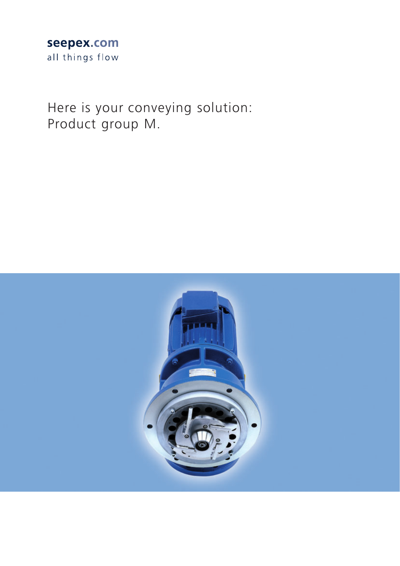### seepex.com all things flow

Here is your conveying solution: Product group M.

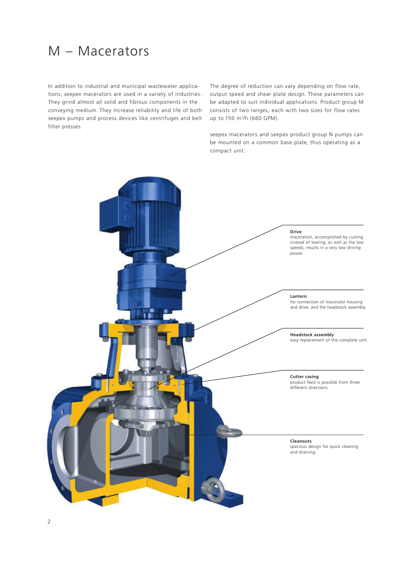# M – Macerators

In addition to industrial and municipal wastewater applications, seepex macerators are used in a variety of industries. They grind almost all solid and fibrous components in the conveying medium. They increase reliability and life of both seepex pumps and process devices like centrifuges and belt filter presses.

The degree of reduction can vary depending on flow rate, output speed and shear plate design. These parameters can be adapted to suit individual applications. Product group M consists of two ranges, each with two sizes for flow rates up to 150 m3 /h (660 GPM).

seepex macerators and seepex product group N pumps can be mounted on a common base plate, thus operating as a compact unit.

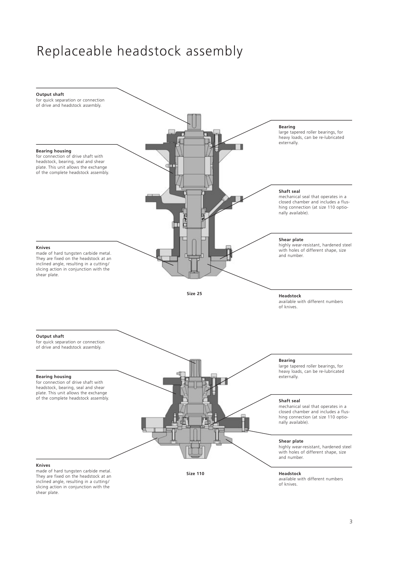# Replaceable headstock assembly

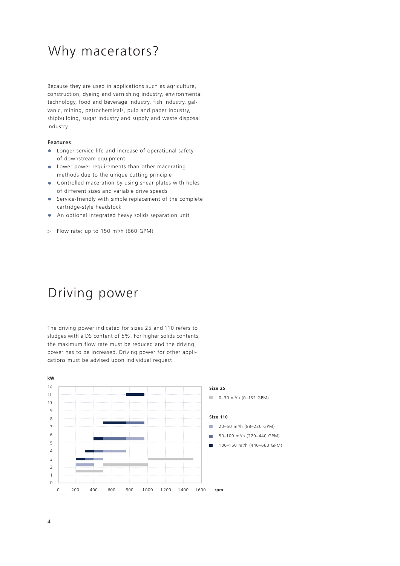### Why macerators?

Because they are used in applications such as agriculture, construction, dyeing and varnishing industry, environmental technology, food and beverage industry, fish industry, galvanic, mining, petrochemicals, pulp and paper industry, shipbuilding, sugar industry and supply and waste disposal industry.

#### **Features**

- **•** Longer service life and increase of operational safety of downstream equipment
- **•** Lower power requirements than other macerating methods due to the unique cutting principle
- **•** Controlled maceration by using shear plates with holes of different sizes and variable drive speeds
- **•** Service-friendly with simple replacement of the complete cartridge-style headstock
- **•** An optional integrated heavy solids separation unit
- > Flow rate: up to 150 m3 /h (660 GPM)

### Driving power

The driving power indicated for sizes 25 and 110 refers to sludges with a DS content of 5%. For higher solids contents, the maximum flow rate must be reduced and the driving power has to be increased. Driving power for other applications must be advised upon individual request.

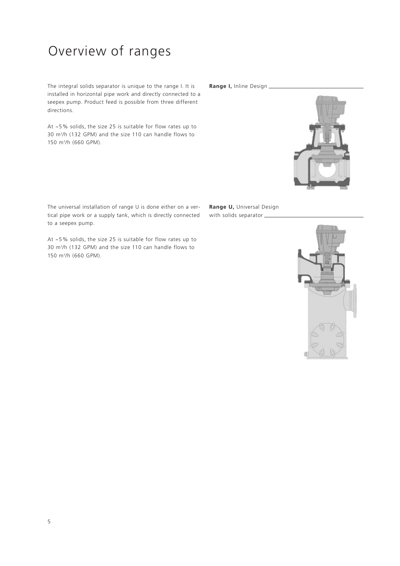# Overview of ranges

The integral solids separator is unique to the range I. It is **Range I,** Inline Design installed in horizontal pipe work and directly connected to a seepex pump. Product feed is possible from three different directions.

At ~5% solids, the size 25 is suitable for flow rates up to 30 m3 /h (132 GPM) and the size 110 can handle flows to 150 m3 /h (660 GPM).

The universal installation of range U is done either on a vertical pipe work or a supply tank, which is directly connected to a seepex pump.

**Range U,** Universal Design with solids separator \_\_

At ~5% solids, the size 25 is suitable for flow rates up to 30 m3 /h (132 GPM) and the size 110 can handle flows to 150 m3 /h (660 GPM).